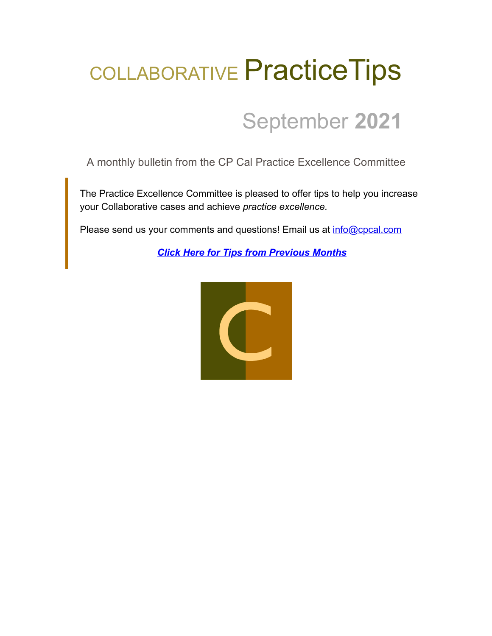# COLLABORATIVE PracticeTips

## September **2021**

A monthly bulletin from the CP Cal Practice Excellence Committee

The Practice Excellence Committee is pleased to offer tips to help you increase your Collaborative cases and achieve *practice excellence.*

Please send us your comments and questions! Email us at [info@cpcal.com](mailto:info@cpcal.com)

*[Click Here for Tips from Previous Months](https://www.cpcal.com/resources/practice-tips-newsletter/)*

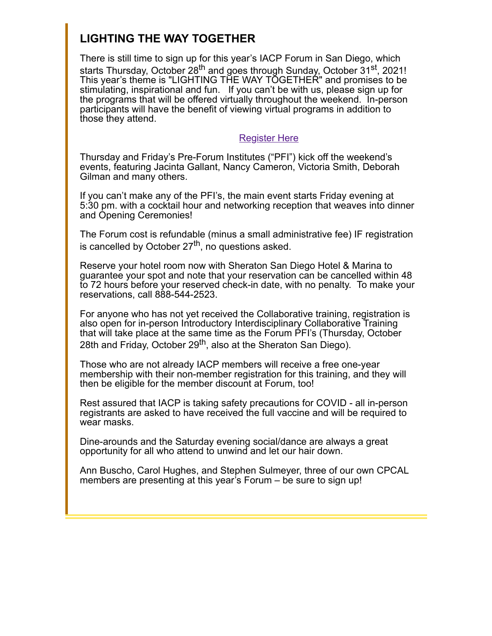### **LIGHTING THE WAY TOGETHER**

There is still time to sign up for this year's IACP Forum in San Diego, which starts Thursday, October 28<sup>th</sup> and goes through Sunday, October 31<sup>st</sup>, 2021! This year's theme is "LIGHTING THE WAY TOGETHER" and promises to be stimulating, inspirational and fun. If you can't be with us, please sign up for the programs that will be offered virtually throughout the weekend. In-person participants will have the benefit of viewing virtual programs in addition to those they attend.

#### [Register Here](https://www.collaborativepractice.com/civicrm/event/register?reset=1&id=132)

Thursday and Friday's Pre-Forum Institutes ("PFI") kick off the weekend's events, featuring Jacinta Gallant, Nancy Cameron, Victoria Smith, Deborah Gilman and many others.

If you can't make any of the PFI's, the main event starts Friday evening at 5:30 pm. with a cocktail hour and networking reception that weaves into dinner and Opening Ceremonies!

The Forum cost is refundable (minus a small administrative fee) IF registration is cancelled by October 27<sup>th</sup>, no questions asked.

Reserve your hotel room now with Sheraton San Diego Hotel & Marina to guarantee your spot and note that your reservation can be cancelled within 48 to 72 hours before your reserved check-in date, with no penalty. To make your reservations, call 888-544-2523.

For anyone who has not yet received the Collaborative training, registration is also open for in-person Introductory Interdisciplinary Collaborative Training that will take place at the same time as the Forum PFI's (Thursday, October 28th and Friday, October 29<sup>th</sup>, also at the Sheraton San Diego).

Those who are not already IACP members will receive a free one-year membership with their non-member registration for this training, and they will then be eligible for the member discount at Forum, too!

Rest assured that IACP is taking safety precautions for COVID - all in-person registrants are asked to have received the full vaccine and will be required to wear masks.

Dine-arounds and the Saturday evening social/dance are always a great opportunity for all who attend to unwind and let our hair down.

Ann Buscho, Carol Hughes, and Stephen Sulmeyer, three of our own CPCAL members are presenting at this year's Forum – be sure to sign up!